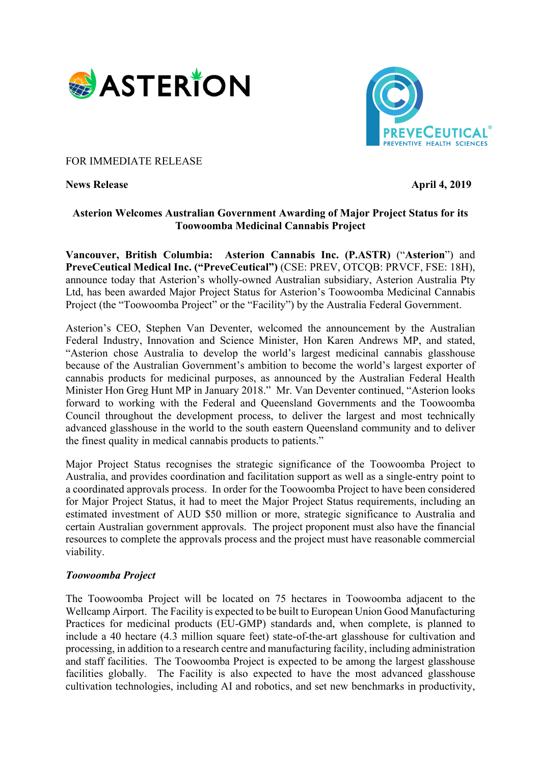



### FOR IMMEDIATE RELEASE

**News Release** April 4, 2019

## **Asterion Welcomes Australian Government Awarding of Major Project Status for its Toowoomba Medicinal Cannabis Project**

**Vancouver, British Columbia: Asterion Cannabis Inc. (P.ASTR)** ("**Asterion**") and **PreveCeutical Medical Inc. ("PreveCeutical")** (CSE: PREV, OTCQB: PRVCF, FSE: 18H), announce today that Asterion's wholly-owned Australian subsidiary, Asterion Australia Pty Ltd, has been awarded Major Project Status for Asterion's Toowoomba Medicinal Cannabis Project (the "Toowoomba Project" or the "Facility") by the Australia Federal Government.

Asterion's CEO, Stephen Van Deventer, welcomed the announcement by the Australian Federal Industry, Innovation and Science Minister, Hon Karen Andrews MP, and stated, "Asterion chose Australia to develop the world's largest medicinal cannabis glasshouse because of the Australian Government's ambition to become the world's largest exporter of cannabis products for medicinal purposes, as announced by the Australian Federal Health Minister Hon Greg Hunt MP in January 2018." Mr. Van Deventer continued, "Asterion looks forward to working with the Federal and Queensland Governments and the Toowoomba Council throughout the development process, to deliver the largest and most technically advanced glasshouse in the world to the south eastern Queensland community and to deliver the finest quality in medical cannabis products to patients."

Major Project Status recognises the strategic significance of the Toowoomba Project to Australia, and provides coordination and facilitation support as well as a single-entry point to a coordinated approvals process. In order for the Toowoomba Project to have been considered for Major Project Status, it had to meet the Major Project Status requirements, including an estimated investment of AUD \$50 million or more, strategic significance to Australia and certain Australian government approvals. The project proponent must also have the financial resources to complete the approvals process and the project must have reasonable commercial viability.

#### *Toowoomba Project*

The Toowoomba Project will be located on 75 hectares in Toowoomba adjacent to the Wellcamp Airport. The Facility is expected to be built to European Union Good Manufacturing Practices for medicinal products (EU-GMP) standards and, when complete, is planned to include a 40 hectare (4.3 million square feet) state-of-the-art glasshouse for cultivation and processing, in addition to a research centre and manufacturing facility, including administration and staff facilities. The Toowoomba Project is expected to be among the largest glasshouse facilities globally. The Facility is also expected to have the most advanced glasshouse cultivation technologies, including AI and robotics, and set new benchmarks in productivity,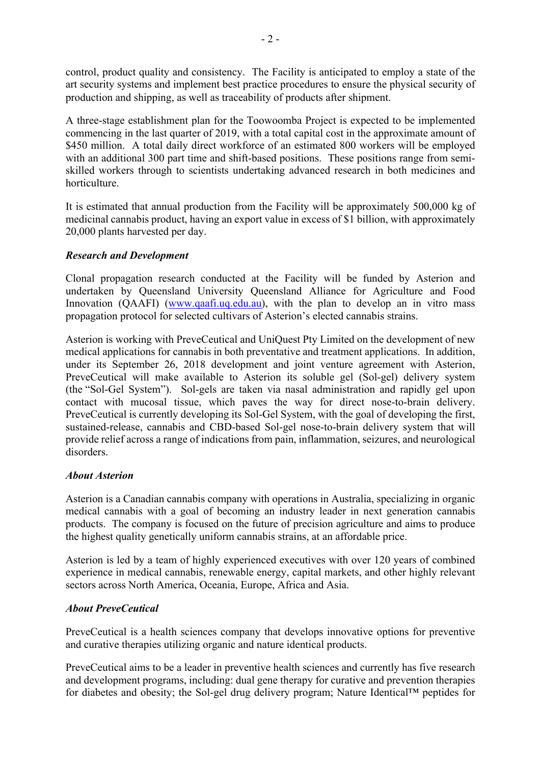control, product quality and consistency. The Facility is anticipated to employ a state of the art security systems and implement best practice procedures to ensure the physical security of production and shipping, as well as traceability of products after shipment.

A three-stage establishment plan for the Toowoomba Project is expected to be implemented commencing in the last quarter of 2019, with a total capital cost in the approximate amount of \$450 million. A total daily direct workforce of an estimated 800 workers will be employed with an additional 300 part time and shift-based positions. These positions range from semiskilled workers through to scientists undertaking advanced research in both medicines and horticulture.

It is estimated that annual production from the Facility will be approximately 500,000 kg of medicinal cannabis product, having an export value in excess of \$1 billion, with approximately 20,000 plants harvested per day.

## *Research and Development*

Clonal propagation research conducted at the Facility will be funded by Asterion and undertaken by Queensland University Queensland Alliance for Agriculture and Food Innovation (OAAFI) (www.qaafi.uq.edu.au), with the plan to develop an in vitro mass propagation protocol for selected cultivars of Asterion's elected cannabis strains.

Asterion is working with PreveCeutical and UniQuest Pty Limited on the development of new medical applications for cannabis in both preventative and treatment applications. In addition, under its September 26, 2018 development and joint venture agreement with Asterion, PreveCeutical will make available to Asterion its soluble gel (Sol-gel) delivery system (the "Sol-Gel System"). Sol-gels are taken via nasal administration and rapidly gel upon contact with mucosal tissue, which paves the way for direct nose-to-brain delivery. PreveCeutical is currently developing its Sol-Gel System, with the goal of developing the first, sustained-release, cannabis and CBD-based Sol-gel nose-to-brain delivery system that will provide relief across a range of indications from pain, inflammation, seizures, and neurological disorders.

#### *About Asterion*

Asterion is a Canadian cannabis company with operations in Australia, specializing in organic medical cannabis with a goal of becoming an industry leader in next generation cannabis products. The company is focused on the future of precision agriculture and aims to produce the highest quality genetically uniform cannabis strains, at an affordable price.

Asterion is led by a team of highly experienced executives with over 120 years of combined experience in medical cannabis, renewable energy, capital markets, and other highly relevant sectors across North America, Oceania, Europe, Africa and Asia.

# *About PreveCeutical*

PreveCeutical is a health sciences company that develops innovative options for preventive and curative therapies utilizing organic and nature identical products.

PreveCeutical aims to be a leader in preventive health sciences and currently has five research and development programs, including: dual gene therapy for curative and prevention therapies for diabetes and obesity; the Sol-gel drug delivery program; Nature Identical™ peptides for